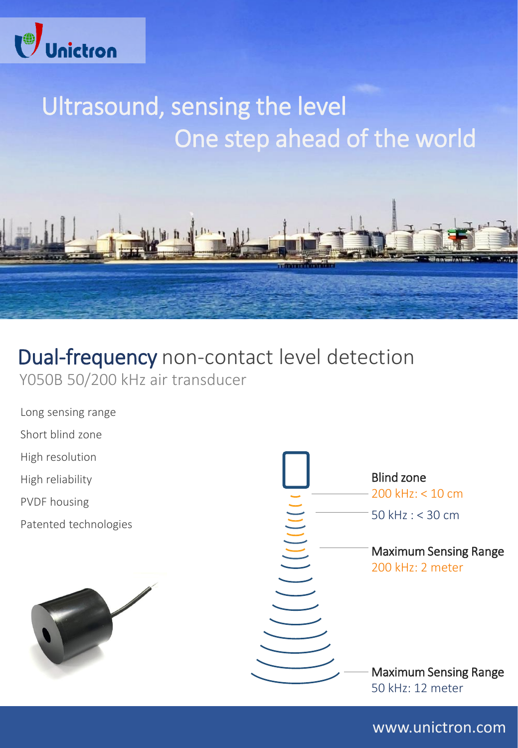

# Ultrasound, sensing the level One step ahead of the world



## Dual-frequency non-contact level detection Y050B 50/200 kHz air transducer

Long sensing range

Short blind zone

High resolution

High reliability

PVDF housing

Patented technologies





www.unictron.com